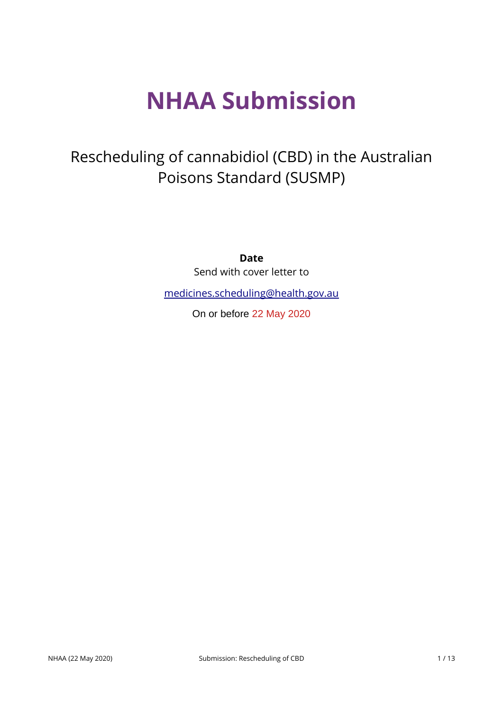# **NHAA Submission**

## Rescheduling of cannabidiol (CBD) in the Australian Poisons Standard (SUSMP)

**Date** Send with cover letter to

[medicines.scheduling@health.gov.au](mailto:medicines.scheduling@health.gov.au)

On or before 22 May 2020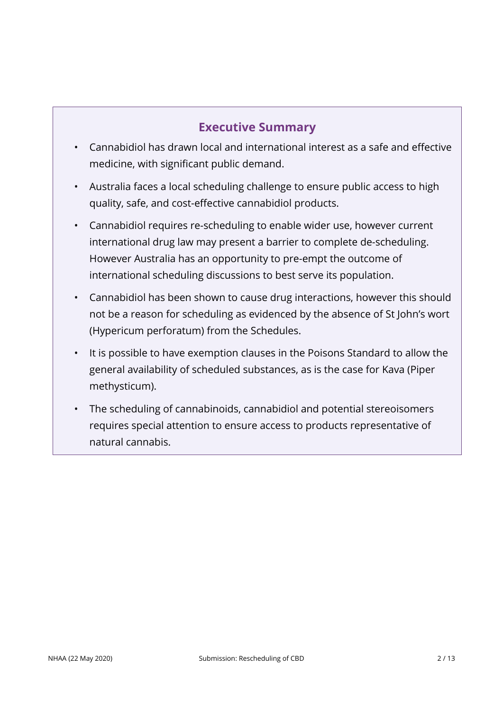#### **Executive Summary**

- Cannabidiol has drawn local and international interest as a safe and effective medicine, with significant public demand.
- Australia faces a local scheduling challenge to ensure public access to high quality, safe, and cost-effective cannabidiol products.
- Cannabidiol requires re-scheduling to enable wider use, however current international drug law may present a barrier to complete de-scheduling. However Australia has an opportunity to pre-empt the outcome of international scheduling discussions to best serve its population.
- Cannabidiol has been shown to cause drug interactions, however this should not be a reason for scheduling as evidenced by the absence of St John's wort (Hypericum perforatum) from the Schedules.
- It is possible to have exemption clauses in the Poisons Standard to allow the general availability of scheduled substances, as is the case for Kava (Piper methysticum).
- The scheduling of cannabinoids, cannabidiol and potential stereoisomers requires special attention to ensure access to products representative of natural cannabis.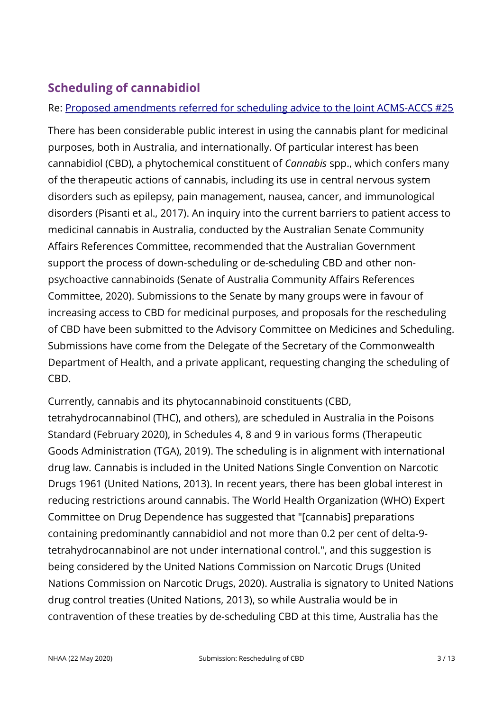### **Scheduling of cannabidiol**

#### Re: [Proposed amendments referred for scheduling advice to the Joint ACMS-ACCS #25](https://www.tga.gov.au/consultation-invitation/consultation-proposed-amendments-poisons-standard-joint-acmsaccs-meetings-june-2020)

There has been considerable public interest in using the cannabis plant for medicinal purposes, both in Australia, and internationally. Of particular interest has been cannabidiol (CBD), a phytochemical constituent of *Cannabis* spp., which confers many of the therapeutic actions of cannabis, including its use in central nervous system disorders such as epilepsy, pain management, nausea, cancer, and immunological disorders (Pisanti et al., 2017). An inquiry into the current barriers to patient access to medicinal cannabis in Australia, conducted by the Australian Senate Community Affairs References Committee, recommended that the Australian Government support the process of down-scheduling or de-scheduling CBD and other nonpsychoactive cannabinoids (Senate of Australia Community Affairs References Committee, 2020). Submissions to the Senate by many groups were in favour of increasing access to CBD for medicinal purposes, and proposals for the rescheduling of CBD have been submitted to the Advisory Committee on Medicines and Scheduling. Submissions have come from the Delegate of the Secretary of the Commonwealth Department of Health, and a private applicant, requesting changing the scheduling of CBD.

Currently, cannabis and its phytocannabinoid constituents (CBD, tetrahydrocannabinol (THC), and others), are scheduled in Australia in the Poisons Standard (February 2020), in Schedules 4, 8 and 9 in various forms (Therapeutic Goods Administration (TGA), 2019). The scheduling is in alignment with international drug law. Cannabis is included in the United Nations Single Convention on Narcotic Drugs 1961 (United Nations, 2013). In recent years, there has been global interest in reducing restrictions around cannabis. The World Health Organization (WHO) Expert Committee on Drug Dependence has suggested that "[cannabis] preparations containing predominantly cannabidiol and not more than 0.2 per cent of delta-9 tetrahydrocannabinol are not under international control.", and this suggestion is being considered by the United Nations Commission on Narcotic Drugs (United Nations Commission on Narcotic Drugs, 2020). Australia is signatory to United Nations drug control treaties (United Nations, 2013), so while Australia would be in contravention of these treaties by de-scheduling CBD at this time, Australia has the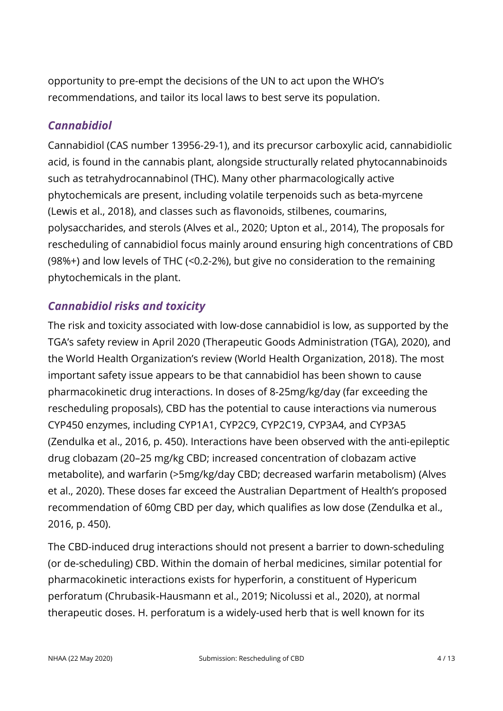opportunity to pre-empt the decisions of the UN to act upon the WHO's recommendations, and tailor its local laws to best serve its population.

#### *Cannabidiol*

Cannabidiol (CAS number 13956-29-1), and its precursor carboxylic acid, cannabidiolic acid, is found in the cannabis plant, alongside structurally related phytocannabinoids such as tetrahydrocannabinol (THC). Many other pharmacologically active phytochemicals are present, including volatile terpenoids such as beta-myrcene (Lewis et al., 2018), and classes such as flavonoids, stilbenes, coumarins, polysaccharides, and sterols (Alves et al., 2020; Upton et al., 2014), The proposals for rescheduling of cannabidiol focus mainly around ensuring high concentrations of CBD (98%+) and low levels of THC (<0.2-2%), but give no consideration to the remaining phytochemicals in the plant.

#### *Cannabidiol risks and toxicity*

The risk and toxicity associated with low-dose cannabidiol is low, as supported by the TGA's safety review in April 2020 (Therapeutic Goods Administration (TGA), 2020), and the World Health Organization's review (World Health Organization, 2018). The most important safety issue appears to be that cannabidiol has been shown to cause pharmacokinetic drug interactions. In doses of 8-25mg/kg/day (far exceeding the rescheduling proposals), CBD has the potential to cause interactions via numerous CYP450 enzymes, including CYP1A1, CYP2C9, CYP2C19, CYP3A4, and CYP3A5 (Zendulka et al., 2016, p. 450). Interactions have been observed with the anti-epileptic drug clobazam (20–25 mg/kg CBD; increased concentration of clobazam active metabolite), and warfarin (>5mg/kg/day CBD; decreased warfarin metabolism) (Alves et al., 2020). These doses far exceed the Australian Department of Health's proposed recommendation of 60mg CBD per day, which qualifies as low dose (Zendulka et al., 2016, p. 450).

The CBD-induced drug interactions should not present a barrier to down-scheduling (or de-scheduling) CBD. Within the domain of herbal medicines, similar potential for pharmacokinetic interactions exists for hyperforin, a constituent of Hypericum perforatum (Chrubasik-Hausmann et al., 2019; Nicolussi et al., 2020), at normal therapeutic doses. H. perforatum is a widely-used herb that is well known for its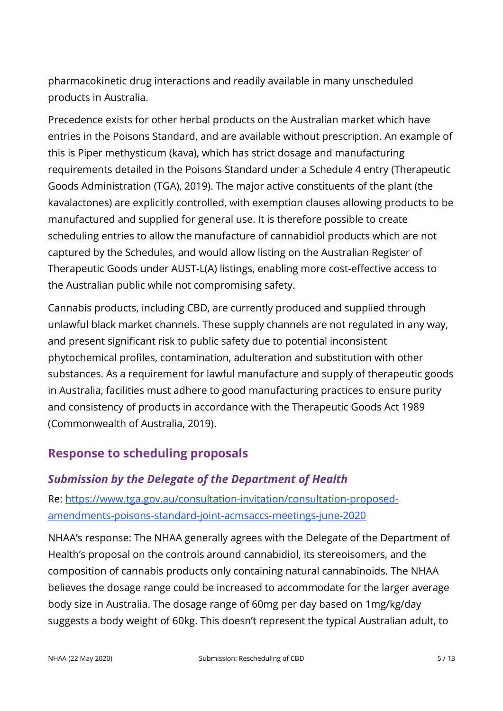pharmacokinetic drug interactions and readily available in many unscheduled products in Australia.

Precedence exists for other herbal products on the Australian market which have entries in the Poisons Standard, and are available without prescription. An example of this is Piper methysticum (kava), which has strict dosage and manufacturing requirements detailed in the Poisons Standard under a Schedule 4 entry (Therapeutic Goods Administration (TGA), 2019). The major active constituents of the plant (the kavalactones) are explicitly controlled, with exemption clauses allowing products to be manufactured and supplied for general use. It is therefore possible to create scheduling entries to allow the manufacture of cannabidiol products which are not captured by the Schedules, and would allow listing on the Australian Register of Therapeutic Goods under AUST-L(A) listings, enabling more cost-effective access to the Australian public while not compromising safety.

Cannabis products, including CBD, are currently produced and supplied through unlawful black market channels. These supply channels are not regulated in any way, and present significant risk to public safety due to potential inconsistent phytochemical profiles, contamination, adulteration and substitution with other substances. As a requirement for lawful manufacture and supply of therapeutic goods in Australia, facilities must adhere to good manufacturing practices to ensure purity and consistency of products in accordance with the Therapeutic Goods Act 1989 (Commonwealth of Australia, 2019).

#### **Response to scheduling proposals**

#### *Submission by the Delegate of the Department of Health*

Re: [https://www.tga.gov.au/consultation-invitation/consultation-proposed](https://www.tga.gov.au/consultation-invitation/consultation-proposed-amendments-poisons-standard-joint-acmsaccs-meetings-june-2020)[amendments-poisons-standard-joint-acmsaccs-meetings-june-2020](https://www.tga.gov.au/consultation-invitation/consultation-proposed-amendments-poisons-standard-joint-acmsaccs-meetings-june-2020)

NHAA's response: The NHAA generally agrees with the Delegate of the Department of Health's proposal on the controls around cannabidiol, its stereoisomers, and the composition of cannabis products only containing natural cannabinoids. The NHAA believes the dosage range could be increased to accommodate for the larger average body size in Australia. The dosage range of 60mg per day based on 1mg/kg/day suggests a body weight of 60kg. This doesn't represent the typical Australian adult, to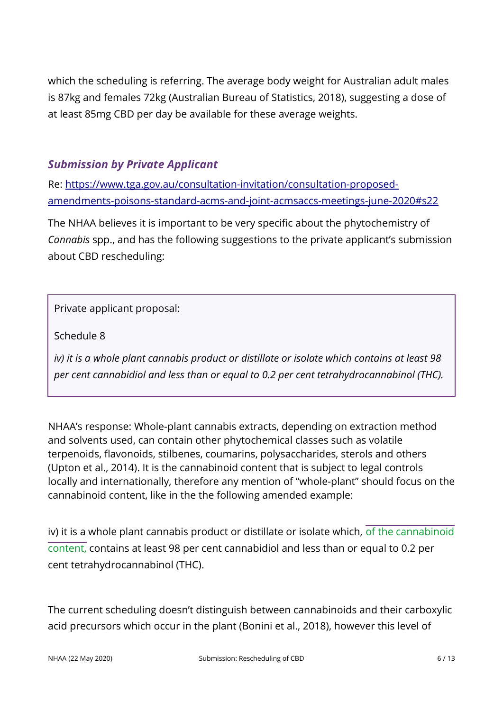which the scheduling is referring. The average body weight for Australian adult males is 87kg and females 72kg (Australian Bureau of Statistics, 2018), suggesting a dose of at least 85mg CBD per day be available for these average weights.

#### *Submission by Private Applicant*

Re: [https://www.tga.gov.au/consultation-invitation/consultation-proposed](https://www.tga.gov.au/consultation-invitation/consultation-proposed-amendments-poisons-standard-acms-and-joint-acmsaccs-meetings-june-2020#s22)[amendments-poisons-standard-acms-and-joint-acmsaccs-meetings-june-2020#s22](https://www.tga.gov.au/consultation-invitation/consultation-proposed-amendments-poisons-standard-acms-and-joint-acmsaccs-meetings-june-2020#s22)

The NHAA believes it is important to be very specific about the phytochemistry of *Cannabis* spp., and has the following suggestions to the private applicant's submission about CBD rescheduling:

Private applicant proposal:

Schedule 8

*iv) it is a whole plant cannabis product or distillate or isolate which contains at least 98 per cent cannabidiol and less than or equal to 0.2 per cent tetrahydrocannabinol (THC).*

NHAA's response: Whole-plant cannabis extracts, depending on extraction method and solvents used, can contain other phytochemical classes such as volatile terpenoids, flavonoids, stilbenes, coumarins, polysaccharides, sterols and others (Upton et al., 2014). It is the cannabinoid content that is subject to legal controls locally and internationally, therefore any mention of "whole-plant" should focus on the cannabinoid content, like in the the following amended example:

iv) it is a whole plant cannabis product or distillate or isolate which, of the cannabinoid content, contains at least 98 per cent cannabidiol and less than or equal to 0.2 per cent tetrahydrocannabinol (THC).

The current scheduling doesn't distinguish between cannabinoids and their carboxylic acid precursors which occur in the plant (Bonini et al., 2018), however this level of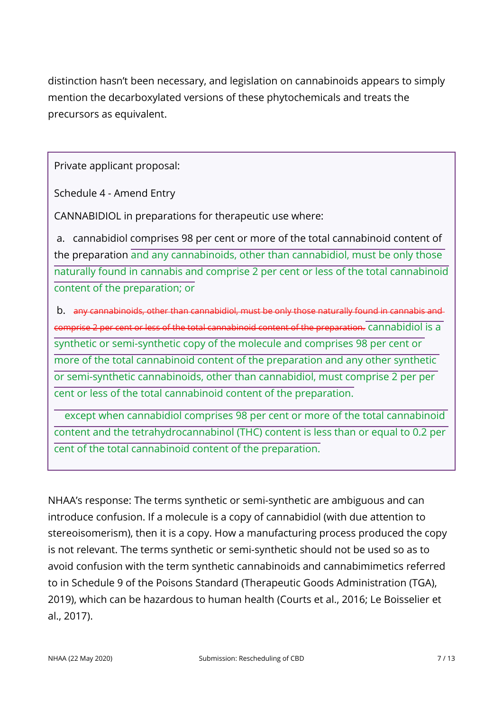distinction hasn't been necessary, and legislation on cannabinoids appears to simply mention the decarboxylated versions of these phytochemicals and treats the precursors as equivalent.

Private applicant proposal:

Schedule 4 - Amend Entry

CANNABIDIOL in preparations for therapeutic use where:

 a. cannabidiol comprises 98 per cent or more of the total cannabinoid content of the preparation and any cannabinoids, other than cannabidiol, must be only those naturally found in cannabis and comprise 2 per cent or less of the total cannabinoid content of the preparation; or

 b. any cannabinoids, other than cannabidiol, must be only those naturally found in cannabis and comprise 2 per cent or less of the total cannabinoid content of the preparation. cannabidiol is a synthetic or semi-synthetic copy of the molecule and comprises 98 per cent or more of the total cannabinoid content of the preparation and any other synthetic or semi-synthetic cannabinoids, other than cannabidiol, must comprise 2 per per cent or less of the total cannabinoid content of the preparation.

 except when cannabidiol comprises 98 per cent or more of the total cannabinoid content and the tetrahydrocannabinol (THC) content is less than or equal to 0.2 per cent of the total cannabinoid content of the preparation.

NHAA's response: The terms synthetic or semi-synthetic are ambiguous and can introduce confusion. If a molecule is a copy of cannabidiol (with due attention to stereoisomerism), then it is a copy. How a manufacturing process produced the copy is not relevant. The terms synthetic or semi-synthetic should not be used so as to avoid confusion with the term synthetic cannabinoids and cannabimimetics referred to in Schedule 9 of the Poisons Standard (Therapeutic Goods Administration (TGA), 2019), which can be hazardous to human health (Courts et al., 2016; Le Boisselier et al., 2017).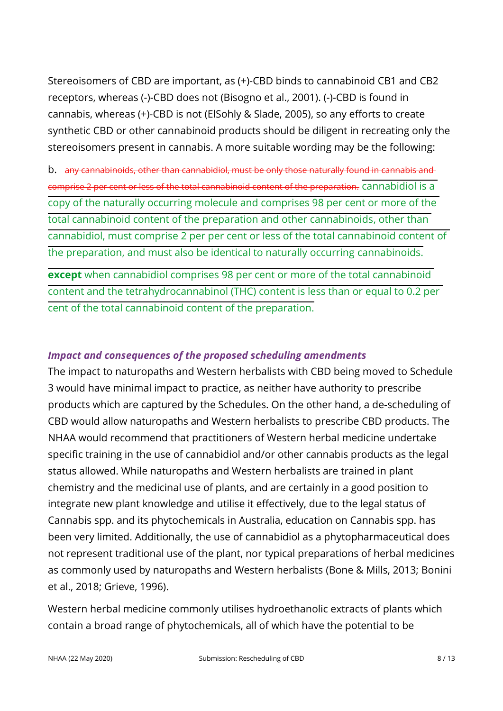Stereoisomers of CBD are important, as (+)-CBD binds to cannabinoid CB1 and CB2 receptors, whereas (-)-CBD does not (Bisogno et al., 2001). (-)-CBD is found in cannabis, whereas (+)-CBD is not (ElSohly & Slade, 2005), so any efforts to create synthetic CBD or other cannabinoid products should be diligent in recreating only the stereoisomers present in cannabis. A more suitable wording may be the following:

b. any cannabinoids, other than cannabidiol, must be only those naturally found in cannabis and comprise 2 per cent or less of the total cannabinoid content of the preparation. cannabidiol is a copy of the naturally occurring molecule and comprises 98 per cent or more of the total cannabinoid content of the preparation and other cannabinoids, other than cannabidiol, must comprise 2 per per cent or less of the total cannabinoid content of the preparation, and must also be identical to naturally occurring cannabinoids.

**except** when cannabidiol comprises 98 per cent or more of the total cannabinoid content and the tetrahydrocannabinol (THC) content is less than or equal to 0.2 per cent of the total cannabinoid content of the preparation.

#### *Impact and consequences of the proposed scheduling amendments*

The impact to naturopaths and Western herbalists with CBD being moved to Schedule 3 would have minimal impact to practice, as neither have authority to prescribe products which are captured by the Schedules. On the other hand, a de-scheduling of CBD would allow naturopaths and Western herbalists to prescribe CBD products. The NHAA would recommend that practitioners of Western herbal medicine undertake specific training in the use of cannabidiol and/or other cannabis products as the legal status allowed. While naturopaths and Western herbalists are trained in plant chemistry and the medicinal use of plants, and are certainly in a good position to integrate new plant knowledge and utilise it effectively, due to the legal status of Cannabis spp. and its phytochemicals in Australia, education on Cannabis spp. has been very limited. Additionally, the use of cannabidiol as a phytopharmaceutical does not represent traditional use of the plant, nor typical preparations of herbal medicines as commonly used by naturopaths and Western herbalists (Bone & Mills, 2013; Bonini et al., 2018; Grieve, 1996).

Western herbal medicine commonly utilises hydroethanolic extracts of plants which contain a broad range of phytochemicals, all of which have the potential to be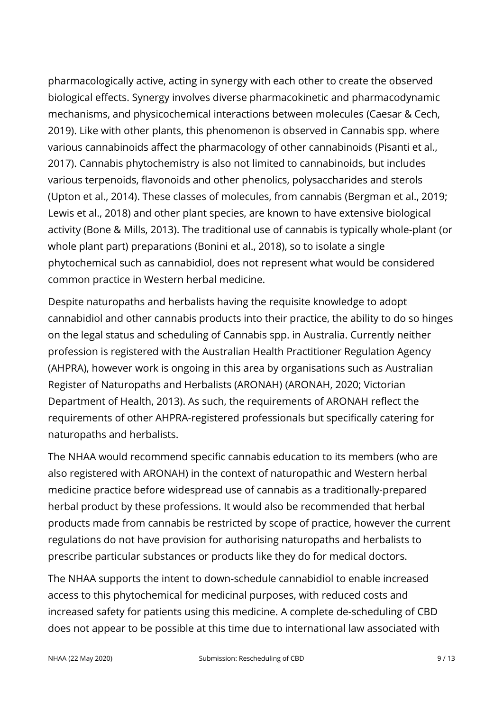pharmacologically active, acting in synergy with each other to create the observed biological effects. Synergy involves diverse pharmacokinetic and pharmacodynamic mechanisms, and physicochemical interactions between molecules (Caesar & Cech, 2019). Like with other plants, this phenomenon is observed in Cannabis spp. where various cannabinoids affect the pharmacology of other cannabinoids (Pisanti et al., 2017). Cannabis phytochemistry is also not limited to cannabinoids, but includes various terpenoids, flavonoids and other phenolics, polysaccharides and sterols (Upton et al., 2014). These classes of molecules, from cannabis (Bergman et al., 2019; Lewis et al., 2018) and other plant species, are known to have extensive biological activity (Bone & Mills, 2013). The traditional use of cannabis is typically whole-plant (or whole plant part) preparations (Bonini et al., 2018), so to isolate a single phytochemical such as cannabidiol, does not represent what would be considered common practice in Western herbal medicine.

Despite naturopaths and herbalists having the requisite knowledge to adopt cannabidiol and other cannabis products into their practice, the ability to do so hinges on the legal status and scheduling of Cannabis spp. in Australia. Currently neither profession is registered with the Australian Health Practitioner Regulation Agency (AHPRA), however work is ongoing in this area by organisations such as Australian Register of Naturopaths and Herbalists (ARONAH) (ARONAH, 2020; Victorian Department of Health, 2013). As such, the requirements of ARONAH reflect the requirements of other AHPRA-registered professionals but specifically catering for naturopaths and herbalists.

The NHAA would recommend specific cannabis education to its members (who are also registered with ARONAH) in the context of naturopathic and Western herbal medicine practice before widespread use of cannabis as a traditionally-prepared herbal product by these professions. It would also be recommended that herbal products made from cannabis be restricted by scope of practice, however the current regulations do not have provision for authorising naturopaths and herbalists to prescribe particular substances or products like they do for medical doctors.

The NHAA supports the intent to down-schedule cannabidiol to enable increased access to this phytochemical for medicinal purposes, with reduced costs and increased safety for patients using this medicine. A complete de-scheduling of CBD does not appear to be possible at this time due to international law associated with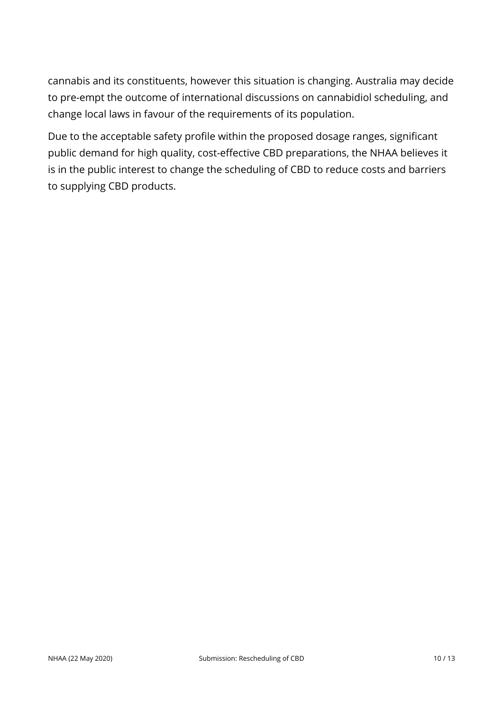cannabis and its constituents, however this situation is changing. Australia may decide to pre-empt the outcome of international discussions on cannabidiol scheduling, and change local laws in favour of the requirements of its population.

Due to the acceptable safety profile within the proposed dosage ranges, significant public demand for high quality, cost-effective CBD preparations, the NHAA believes it is in the public interest to change the scheduling of CBD to reduce costs and barriers to supplying CBD products.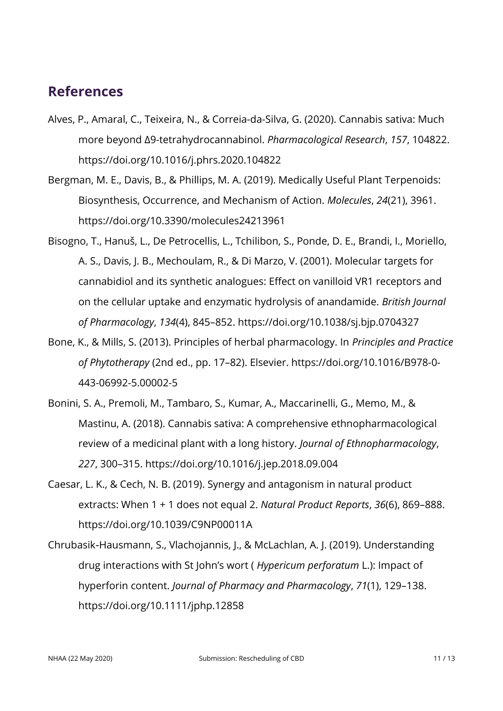#### **References**

- Alves, P., Amaral, C., Teixeira, N., & Correia-da-Silva, G. (2020). Cannabis sativa: Much more beyond Δ9-tetrahydrocannabinol. *Pharmacological Research*, *157*, 104822. https://doi.org/10.1016/j.phrs.2020.104822
- Bergman, M. E., Davis, B., & Phillips, M. A. (2019). Medically Useful Plant Terpenoids: Biosynthesis, Occurrence, and Mechanism of Action. *Molecules*, *24*(21), 3961. https://doi.org/10.3390/molecules24213961
- Bisogno, T., Hanuš, L., De Petrocellis, L., Tchilibon, S., Ponde, D. E., Brandi, I., Moriello, A. S., Davis, J. B., Mechoulam, R., & Di Marzo, V. (2001). Molecular targets for cannabidiol and its synthetic analogues: Effect on vanilloid VR1 receptors and on the cellular uptake and enzymatic hydrolysis of anandamide. *British Journal of Pharmacology*, *134*(4), 845–852. https://doi.org/10.1038/sj.bjp.0704327
- Bone, K., & Mills, S. (2013). Principles of herbal pharmacology. In *Principles and Practice of Phytotherapy* (2nd ed., pp. 17–82). Elsevier. https://doi.org/10.1016/B978-0- 443-06992-5.00002-5
- Bonini, S. A., Premoli, M., Tambaro, S., Kumar, A., Maccarinelli, G., Memo, M., & Mastinu, A. (2018). Cannabis sativa: A comprehensive ethnopharmacological review of a medicinal plant with a long history. *Journal of Ethnopharmacology*, *227*, 300–315. https://doi.org/10.1016/j.jep.2018.09.004
- Caesar, L. K., & Cech, N. B. (2019). Synergy and antagonism in natural product extracts: When 1 + 1 does not equal 2. *Natural Product Reports*, *36*(6), 869–888. https://doi.org/10.1039/C9NP00011A
- Chrubasik Hausmann, S., Vlachojannis, J., & McLachlan, A. J. (2019). Understanding ‐ drug interactions with St John's wort ( *Hypericum perforatum* L.): Impact of hyperforin content. *Journal of Pharmacy and Pharmacology*, *71*(1), 129–138. https://doi.org/10.1111/jphp.12858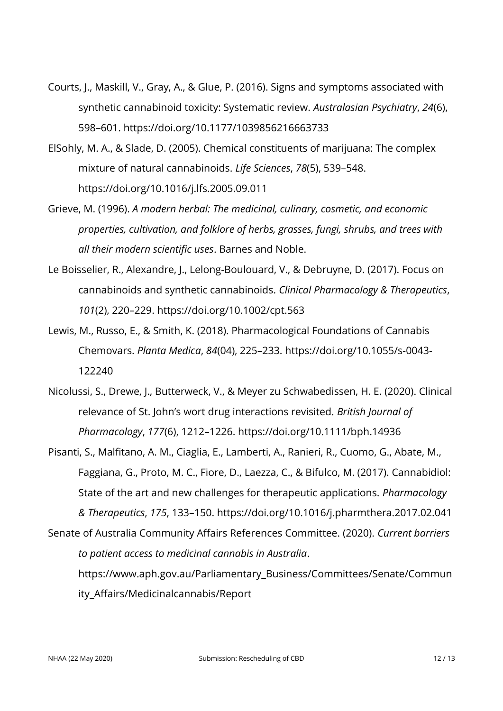- Courts, J., Maskill, V., Gray, A., & Glue, P. (2016). Signs and symptoms associated with synthetic cannabinoid toxicity: Systematic review. *Australasian Psychiatry*, *24*(6), 598–601. https://doi.org/10.1177/1039856216663733
- ElSohly, M. A., & Slade, D. (2005). Chemical constituents of marijuana: The complex mixture of natural cannabinoids. *Life Sciences*, *78*(5), 539–548. https://doi.org/10.1016/j.lfs.2005.09.011
- Grieve, M. (1996). *A modern herbal: The medicinal, culinary, cosmetic, and economic properties, cultivation, and folklore of herbs, grasses, fungi, shrubs, and trees with all their modern scientific uses*. Barnes and Noble.
- Le Boisselier, R., Alexandre, J., Lelong-Boulouard, V., & Debruyne, D. (2017). Focus on cannabinoids and synthetic cannabinoids. *Clinical Pharmacology & Therapeutics*, *101*(2), 220–229. https://doi.org/10.1002/cpt.563
- Lewis, M., Russo, E., & Smith, K. (2018). Pharmacological Foundations of Cannabis Chemovars. *Planta Medica*, *84*(04), 225–233. https://doi.org/10.1055/s-0043- 122240
- Nicolussi, S., Drewe, J., Butterweck, V., & Meyer zu Schwabedissen, H. E. (2020). Clinical relevance of St. John's wort drug interactions revisited. *British Journal of Pharmacology*, *177*(6), 1212–1226. https://doi.org/10.1111/bph.14936
- Pisanti, S., Malfitano, A. M., Ciaglia, E., Lamberti, A., Ranieri, R., Cuomo, G., Abate, M., Faggiana, G., Proto, M. C., Fiore, D., Laezza, C., & Bifulco, M. (2017). Cannabidiol: State of the art and new challenges for therapeutic applications. *Pharmacology & Therapeutics*, *175*, 133–150. https://doi.org/10.1016/j.pharmthera.2017.02.041 Senate of Australia Community Affairs References Committee. (2020). *Current barriers*

*to patient access to medicinal cannabis in Australia*.

https://www.aph.gov.au/Parliamentary\_Business/Committees/Senate/Commun ity Affairs/Medicinalcannabis/Report